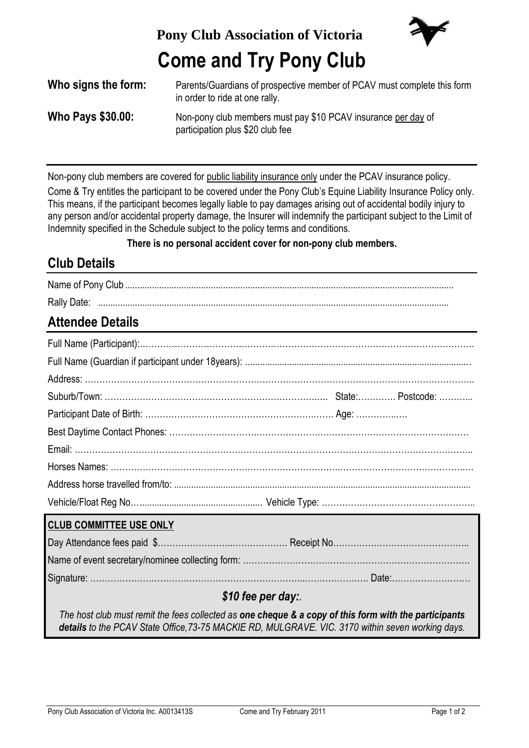**Pony Club Association of Victoria**



# **Come and Try Pony Club**

| Who signs the form:      | Parents/Guardians of prospective member of PCAV must complete this form<br>in order to ride at one rally. |
|--------------------------|-----------------------------------------------------------------------------------------------------------|
| <b>Who Pays \$30.00:</b> | Non-pony club members must pay \$10 PCAV insurance per day of<br>participation plus \$20 club fee         |

Non-pony club members are covered for public liability insurance only under the PCAV insurance policy.

Come & Try entitles the participant to be covered under the Pony Club's Equine Liability Insurance Policy only. This means, if the participant becomes legally liable to pay damages arising out of accidental bodily injury to any person and/or accidental property damage, the Insurer will indemnify the participant subject to the Limit of Indemnity specified in the Schedule subject to the policy terms and conditions.

**There is no personal accident cover for non-pony club members.**

## **Club Details**

| <b>Rally Date</b> |  |
|-------------------|--|

## **Attendee Details**

| <b>CLUB COMMITTEE USE ONLY</b>                                                                                   |  |  |  |  |  |
|------------------------------------------------------------------------------------------------------------------|--|--|--|--|--|
|                                                                                                                  |  |  |  |  |  |
|                                                                                                                  |  |  |  |  |  |
|                                                                                                                  |  |  |  |  |  |
| \$10 fee per day:                                                                                                |  |  |  |  |  |
| The host club must remit the fees collected as <b>one cheque &amp; a copy of this form with the participants</b> |  |  |  |  |  |

*The host club must remit the fees collected as one cheque & a copy of this form with the participants details to the PCAV State Office,73-75 MACKIE RD, MULGRAVE. VIC. 3170 within seven working days.*